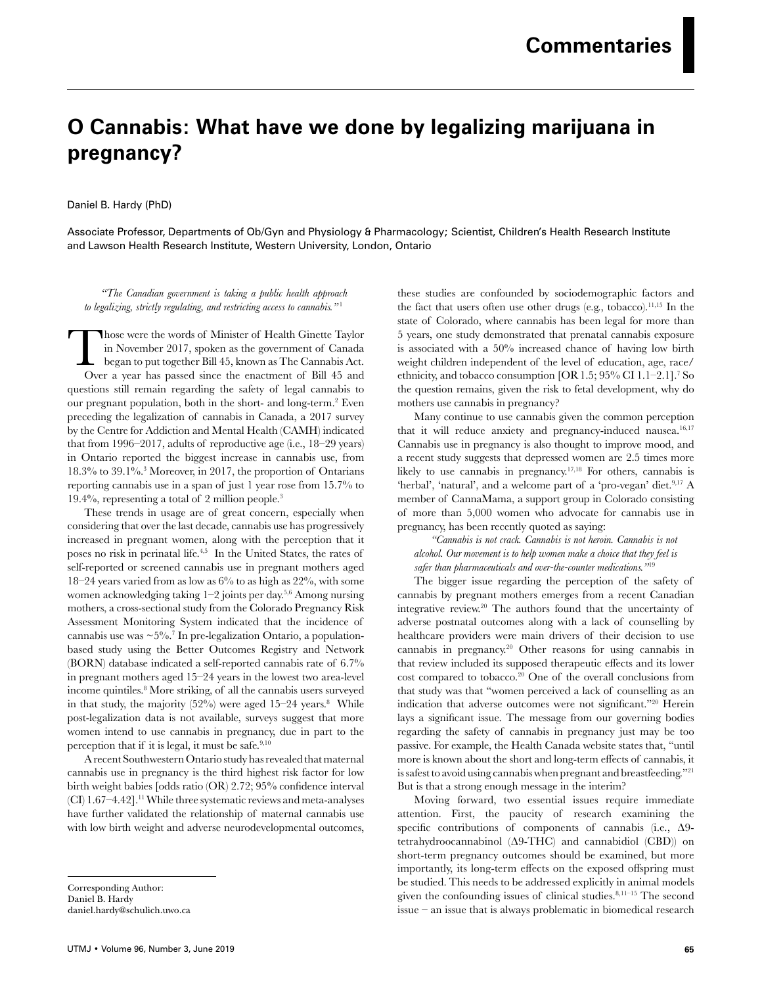## **O Cannabis: What have we done by legalizing marijuana in pregnancy?**

Daniel B. Hardy (PhD)

Associate Professor, Departments of Ob/Gyn and Physiology & Pharmacology; Scientist, Children's Health Research Institute and Lawson Health Research Institute, Western University, London, Ontario

*"The Canadian government is taking a public health approach to legalizing, strictly regulating, and restricting access to cannabis."* <sup>1</sup>

Those were the words of Minister of Health Ginette Taylor in November 2017, spoken as the government of Canada began to put together Bill 45, known as The Cannabis Act. Over a year has passed since the enactment of Bill 45 and questions still remain regarding the safety of legal cannabis to our pregnant population, both in the short- and long-term.2 Even preceding the legalization of cannabis in Canada, a 2017 survey by the Centre for Addiction and Mental Health (CAMH) indicated that from 1996–2017, adults of reproductive age (i.e., 18–29 years) in Ontario reported the biggest increase in cannabis use, from 18.3% to 39.1%.3 Moreover, in 2017, the proportion of Ontarians reporting cannabis use in a span of just 1 year rose from 15.7% to 19.4%, representing a total of 2 million people.3

These trends in usage are of great concern, especially when considering that over the last decade, cannabis use has progressively increased in pregnant women, along with the perception that it poses no risk in perinatal life.4,5 In the United States, the rates of self-reported or screened cannabis use in pregnant mothers aged 18–24 years varied from as low as  $6\%$  to as high as  $22\%$ , with some women acknowledging taking 1–2 joints per day.5,6 Among nursing mothers, a cross-sectional study from the Colorado Pregnancy Risk Assessment Monitoring System indicated that the incidence of cannabis use was  $\sim 5\%$ .<sup>7</sup> In pre-legalization Ontario, a populationbased study using the Better Outcomes Registry and Network (BORN) database indicated a self-reported cannabis rate of 6.7% in pregnant mothers aged 15–24 years in the lowest two area-level income quintiles.8 More striking, of all the cannabis users surveyed in that study, the majority  $(52%)$  were aged  $15-24$  years.<sup>8</sup> While post-legalization data is not available, surveys suggest that more women intend to use cannabis in pregnancy, due in part to the perception that if it is legal, it must be safe.9,10

A recent Southwestern Ontario study has revealed that maternal cannabis use in pregnancy is the third highest risk factor for low birth weight babies [odds ratio (OR) 2.72; 95% confidence interval (CI) 1.67-4.42].<sup>11</sup> While three systematic reviews and meta-analyses have further validated the relationship of maternal cannabis use with low birth weight and adverse neurodevelopmental outcomes,

Corresponding Author: Daniel B. Hardy daniel.hardy@schulich.uwo.ca these studies are confounded by sociodemographic factors and the fact that users often use other drugs (e.g., tobacco).<sup>11,15</sup> In the state of Colorado, where cannabis has been legal for more than 5 years, one study demonstrated that prenatal cannabis exposure is associated with a 50% increased chance of having low birth weight children independent of the level of education, age, race/ ethnicity, and tobacco consumption [OR1.5; 95% CI 1.1–2.1].7 So the question remains, given the risk to fetal development, why do mothers use cannabis in pregnancy?

Many continue to use cannabis given the common perception that it will reduce anxiety and pregnancy-induced nausea.<sup>16,17</sup> Cannabis use in pregnancy is also thought to improve mood, and a recent study suggests that depressed women are 2.5 times more likely to use cannabis in pregnancy.17,18 For others, cannabis is 'herbal', 'natural', and a welcome part of a 'pro-vegan' diet.<sup>9,17</sup> A member of CannaMama, a support group in Colorado consisting of more than 5,000 women who advocate for cannabis use in pregnancy, has been recently quoted as saying:

*"Cannabis is not crack. Cannabis is not heroin. Cannabis is not alcohol. Our movement is to help women make a choice that they feel is safer than pharmaceuticals and over-the-counter medications."*<sup>19</sup>

The bigger issue regarding the perception of the safety of cannabis by pregnant mothers emerges from a recent Canadian integrative review.20 The authors found that the uncertainty of adverse postnatal outcomes along with a lack of counselling by healthcare providers were main drivers of their decision to use cannabis in pregnancy.20 Other reasons for using cannabis in that review included its supposed therapeutic effects and its lower cost compared to tobacco.20 One of the overall conclusions from that study was that "women perceived a lack of counselling as an indication that adverse outcomes were not significant."20 Herein lays a significant issue. The message from our governing bodies regarding the safety of cannabis in pregnancy just may be too passive. For example, the Health Canada website states that, "until more is known about the short and long-term effects of cannabis, it is safest to avoid using cannabis when pregnant and breastfeeding."21 But is that a strong enough message in the interim?

Moving forward, two essential issues require immediate attention. First, the paucity of research examining the specific contributions of components of cannabis (i.e., Δ9 tetrahydroocannabinol (Δ9-THC) and cannabidiol (CBD)) on short-term pregnancy outcomes should be examined, but more importantly, its long-term effects on the exposed offspring must be studied. This needs to be addressed explicitly in animal models given the confounding issues of clinical studies.8,11–15 The second issue – an issue that is always problematic in biomedical research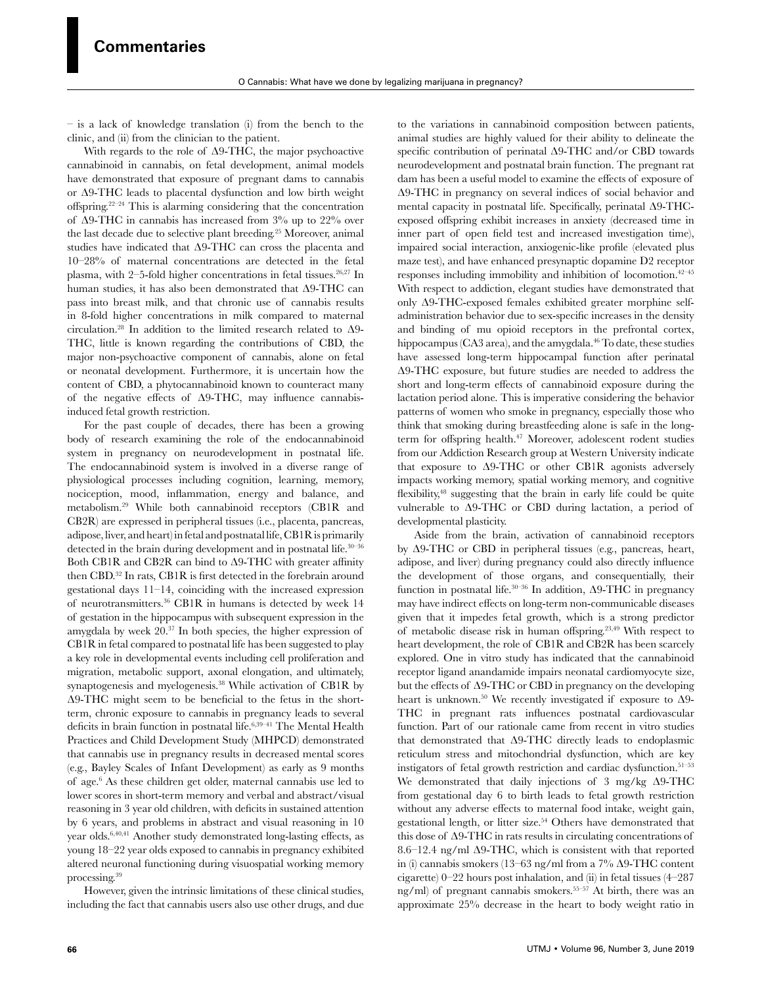– is a lack of knowledge translation (i) from the bench to the clinic, and (ii) from the clinician to the patient.

With regards to the role of Δ9-THC, the major psychoactive cannabinoid in cannabis, on fetal development, animal models have demonstrated that exposure of pregnant dams to cannabis or Δ9-THC leads to placental dysfunction and low birth weight offspring.22–24 This is alarming considering that the concentration of  $\Delta$ 9-THC in cannabis has increased from 3% up to 22% over the last decade due to selective plant breeding.25 Moreover, animal studies have indicated that Δ9-THC can cross the placenta and 10–28% of maternal concentrations are detected in the fetal plasma, with  $2-5$ -fold higher concentrations in fetal tissues.<sup>26,27</sup> In human studies, it has also been demonstrated that Δ9-THC can pass into breast milk, and that chronic use of cannabis results in 8-fold higher concentrations in milk compared to maternal circulation.28 In addition to the limited research related to Δ9- THC, little is known regarding the contributions of CBD, the major non-psychoactive component of cannabis, alone on fetal or neonatal development. Furthermore, it is uncertain how the content of CBD, a phytocannabinoid known to counteract many of the negative effects of Δ9-THC, may influence cannabisinduced fetal growth restriction.

For the past couple of decades, there has been a growing body of research examining the role of the endocannabinoid system in pregnancy on neurodevelopment in postnatal life. The endocannabinoid system is involved in a diverse range of physiological processes including cognition, learning, memory, nociception, mood, inflammation, energy and balance, and metabolism.29 While both cannabinoid receptors (CB1R and CB2R) are expressed in peripheral tissues (i.e., placenta, pancreas, adipose, liver, and heart) in fetal and postnatal life, CB1R is primarily detected in the brain during development and in postnatal life. $30-36$ Both CB1R and CB2R can bind to Δ9-THC with greater affinity then CBD.32 In rats, CB1R is first detected in the forebrain around gestational days 11–14, coinciding with the increased expression of neurotransmitters.36 CB1R in humans is detected by week 14 of gestation in the hippocampus with subsequent expression in the amygdala by week 20.37 In both species, the higher expression of CB1R in fetal compared to postnatal life has been suggested to play a key role in developmental events including cell proliferation and migration, metabolic support, axonal elongation, and ultimately, synaptogenesis and myelogenesis.38 While activation of CB1R by Δ9-THC might seem to be beneficial to the fetus in the shortterm, chronic exposure to cannabis in pregnancy leads to several deficits in brain function in postnatal life.6,39–41 The Mental Health Practices and Child Development Study (MHPCD) demonstrated that cannabis use in pregnancy results in decreased mental scores (e.g., Bayley Scales of Infant Development) as early as 9 months of age.6 As these children get older, maternal cannabis use led to lower scores in short-term memory and verbal and abstract/visual reasoning in 3 year old children, with deficits in sustained attention by 6 years, and problems in abstract and visual reasoning in 10 year olds.6,40,41 Another study demonstrated long-lasting effects, as young 18–22 year olds exposed to cannabis in pregnancy exhibited altered neuronal functioning during visuospatial working memory processing.39

However, given the intrinsic limitations of these clinical studies, including the fact that cannabis users also use other drugs, and due

to the variations in cannabinoid composition between patients, animal studies are highly valued for their ability to delineate the specific contribution of perinatal Δ9-THC and/or CBD towards neurodevelopment and postnatal brain function. The pregnant rat dam has been a useful model to examine the effects of exposure of Δ9-THC in pregnancy on several indices of social behavior and mental capacity in postnatal life. Specifically, perinatal Δ9-THCexposed offspring exhibit increases in anxiety (decreased time in inner part of open field test and increased investigation time), impaired social interaction, anxiogenic-like profile (elevated plus maze test), and have enhanced presynaptic dopamine D2 receptor responses including immobility and inhibition of locomotion.<sup>42-45</sup> With respect to addiction, elegant studies have demonstrated that only Δ9-THC-exposed females exhibited greater morphine selfadministration behavior due to sex-specific increases in the density and binding of mu opioid receptors in the prefrontal cortex, hippocampus (CA3 area), and the amygdala.<sup>46</sup> To date, these studies have assessed long-term hippocampal function after perinatal Δ9-THC exposure, but future studies are needed to address the short and long-term effects of cannabinoid exposure during the lactation period alone. This is imperative considering the behavior patterns of women who smoke in pregnancy, especially those who think that smoking during breastfeeding alone is safe in the longterm for offspring health.<sup>47</sup> Moreover, adolescent rodent studies from our Addiction Research group at Western University indicate that exposure to Δ9-THC or other CB1R agonists adversely impacts working memory, spatial working memory, and cognitive flexibility,48 suggesting that the brain in early life could be quite vulnerable to Δ9-THC or CBD during lactation, a period of developmental plasticity.

Aside from the brain, activation of cannabinoid receptors by Δ9-THC or CBD in peripheral tissues (e.g., pancreas, heart, adipose, and liver) during pregnancy could also directly influence the development of those organs, and consequentially, their function in postnatal life.<sup>30–36</sup> In addition,  $\Delta$ 9-THC in pregnancy may have indirect effects on long-term non-communicable diseases given that it impedes fetal growth, which is a strong predictor of metabolic disease risk in human offspring.23,49 With respect to heart development, the role of CB1R and CB2R has been scarcely explored. One in vitro study has indicated that the cannabinoid receptor ligand anandamide impairs neonatal cardiomyocyte size, but the effects of Δ9-THC or CBD in pregnancy on the developing heart is unknown.<sup>50</sup> We recently investigated if exposure to Δ9-THC in pregnant rats influences postnatal cardiovascular function. Part of our rationale came from recent in vitro studies that demonstrated that Δ9-THC directly leads to endoplasmic reticulum stress and mitochondrial dysfunction, which are key instigators of fetal growth restriction and cardiac dysfunction.51–53 We demonstrated that daily injections of 3 mg/kg Δ9-THC from gestational day 6 to birth leads to fetal growth restriction without any adverse effects to maternal food intake, weight gain, gestational length, or litter size.<sup>54</sup> Others have demonstrated that this dose of Δ9-THC in rats results in circulating concentrations of 8.6–12.4 ng/ml Δ9-THC, which is consistent with that reported in (i) cannabis smokers (13–63 ng/ml from a 7% Δ9-THC content cigarette) 0–22 hours post inhalation, and (ii) in fetal tissues (4–287 ng/ml) of pregnant cannabis smokers.55–57 At birth, there was an approximate 25% decrease in the heart to body weight ratio in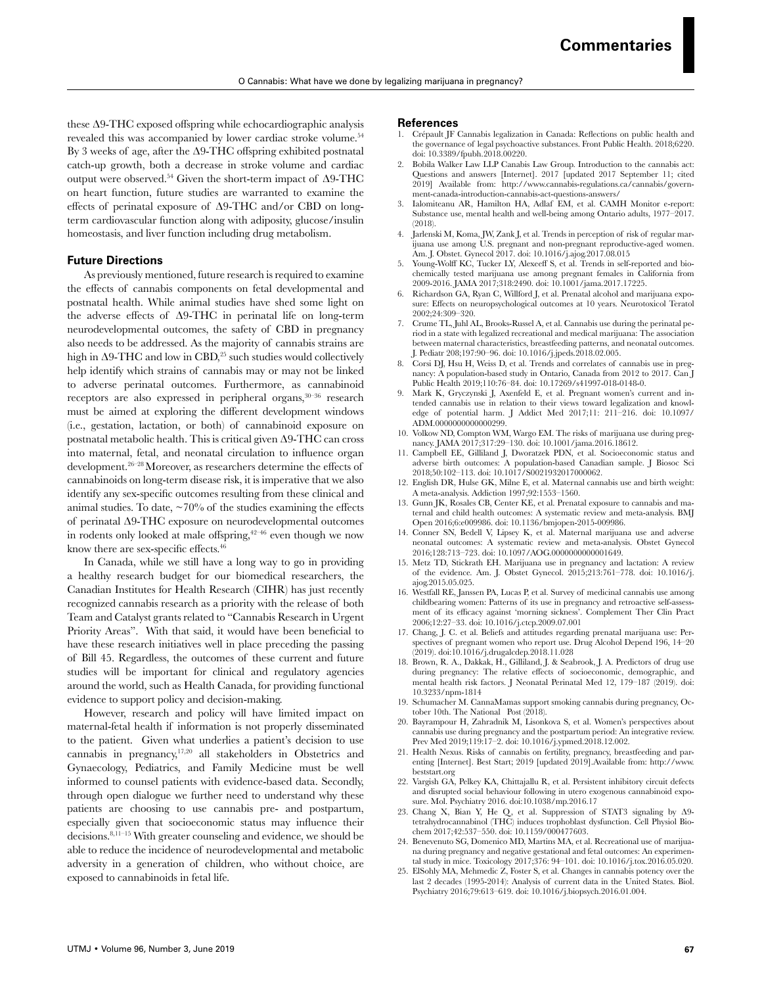these Δ9-THC exposed offspring while echocardiographic analysis revealed this was accompanied by lower cardiac stroke volume.<sup>54</sup> By 3 weeks of age, after the Δ9-THC offspring exhibited postnatal catch-up growth, both a decrease in stroke volume and cardiac output were observed.<sup>54</sup> Given the short-term impact of  $\Delta 9\text{-}THC$ on heart function, future studies are warranted to examine the effects of perinatal exposure of Δ9-THC and/or CBD on longterm cardiovascular function along with adiposity, glucose/insulin homeostasis, and liver function including drug metabolism.

## **Future Directions**

As previously mentioned, future research is required to examine the effects of cannabis components on fetal developmental and postnatal health. While animal studies have shed some light on the adverse effects of Δ9-THC in perinatal life on long-term neurodevelopmental outcomes, the safety of CBD in pregnancy also needs to be addressed. As the majority of cannabis strains are high in  $\Delta$ 9-THC and low in CBD,<sup>25</sup> such studies would collectively help identify which strains of cannabis may or may not be linked to adverse perinatal outcomes. Furthermore, as cannabinoid receptors are also expressed in peripheral organs,  $30-36$  research must be aimed at exploring the different development windows (i.e., gestation, lactation, or both) of cannabinoid exposure on postnatal metabolic health. This is critical given Δ9-THC can cross into maternal, fetal, and neonatal circulation to influence organ development.26–28 Moreover, as researchers determine the effects of cannabinoids on long-term disease risk, it is imperative that we also identify any sex-specific outcomes resulting from these clinical and animal studies. To date,  $\sim$  70% of the studies examining the effects of perinatal Δ9-THC exposure on neurodevelopmental outcomes in rodents only looked at male offspring, $42-46$  even though we now know there are sex-specific effects.<sup>46</sup>

In Canada, while we still have a long way to go in providing a healthy research budget for our biomedical researchers, the Canadian Institutes for Health Research (CIHR) has just recently recognized cannabis research as a priority with the release of both Team and Catalyst grants related to "Cannabis Research in Urgent Priority Areas". With that said, it would have been beneficial to have these research initiatives well in place preceding the passing of Bill 45. Regardless, the outcomes of these current and future studies will be important for clinical and regulatory agencies around the world, such as Health Canada, for providing functional evidence to support policy and decision-making.

However, research and policy will have limited impact on maternal-fetal health if information is not properly disseminated to the patient. Given what underlies a patient's decision to use cannabis in pregnancy,17,20 all stakeholders in Obstetrics and Gynaecology, Pediatrics, and Family Medicine must be well informed to counsel patients with evidence-based data. Secondly, through open dialogue we further need to understand why these patients are choosing to use cannabis pre- and postpartum, especially given that socioeconomic status may influence their decisions.8,11–15 With greater counseling and evidence, we should be able to reduce the incidence of neurodevelopmental and metabolic adversity in a generation of children, who without choice, are exposed to cannabinoids in fetal life.

## **References**

- 1. Crépault JF Cannabis legalization in Canada: Reflections on public health and the governance of legal psychoactive substances. Front Public Health. 2018;6220. doi: 10.3389/fpubh.2018.00220.
- 2. Bobila Walker Law LLP Canabis Law Group. Introduction to the cannabis act: Questions and answers [Internet]. 2017 [updated 2017 September 11; cited 2019] Available from: http://www.cannabis-regulations.ca/cannabis/government-canada-introduction-cannabis-act-questions-answers/
- 3. Ialomiteanu AR, Hamilton HA, Adlaf EM, et al. CAMH Monitor e-report: Substance use, mental health and well-being among Ontario adults, 1977–2017. (2018).
- 4. Jarlenski M, Koma, JW, Zank J, et al. Trends in perception of risk of regular marijuana use among U.S. pregnant and non-pregnant reproductive-aged women. Am. J. Obstet. Gynecol 2017. doi: 10.1016/j.ajog.2017.08.015
- 5. Young-Wolff KC, Tucker LY, Alexeeff S, et al. Trends in self-reported and biochemically tested marijuana use among pregnant females in California from 2009-2016. JAMA 2017;318:2490. doi: 10.1001/jama.2017.17225.
- 6. Richardson GA, Ryan C, Willford J, et al. Prenatal alcohol and marijuana exposure: Effects on neuropsychological outcomes at 10 years. Neurotoxicol Teratol 2002;24:309–320.
- 7. Crume TL, Juhl AL, Brooks-Russel A, et al. Cannabis use during the perinatal period in a state with legalized recreational and medical marijuana: The association between maternal characteristics, breastfeeding patterns, and neonatal outcomes. J. Pediatr 208;197:90–96. doi: 10.1016/j.jpeds.2018.02.005.
- Corsi DJ, Hsu H, Weiss D, et al. Trends and correlates of cannabis use in pregnancy: A population-based study in Ontario, Canada from 2012 to 2017. Can J Public Health 2019;110:76–84. doi: 10.17269/s41997-018-0148-0.
- Mark K, Gryczynski J, Axenfeld E, et al. Pregnant women's current and intended cannabis use in relation to their views toward legalization and knowledge of potential harm. J Addict Med 2017;11: 211–216. doi: 10.1097/ ADM.0000000000000299.
- 10. Volkow ND, Compton WM, Wargo EM. The risks of marijuana use during pregnancy. JAMA 2017;317:29–130. doi: 10.1001/jama.2016.18612.
- 11. Campbell EE, Gilliland J, Dworatzek PDN, et al. Socioeconomic status and adverse birth outcomes: A population-based Canadian sample. J Biosoc Sci 2018;50:102–113. doi: 10.1017/S0021932017000062.
- 12. English DR, Hulse GK, Milne E, et al. Maternal cannabis use and birth weight: A meta-analysis. Addiction 1997;92:1553–1560.
- 13. Gunn JK, Rosales CB, Center KE, et al. Prenatal exposure to cannabis and maternal and child health outcomes: A systematic review and meta-analysis. BMJ Open 2016;6:e009986. doi: 10.1136/bmjopen-2015-009986.
- 14. Conner SN, Bedell V, Lipsey K, et al. Maternal marijuana use and adverse neonatal outcomes: A systematic review and meta-analysis. Obstet Gynecol 2016;128:713–723. doi: 10.1097/AOG.0000000000001649.
- 15. Metz TD, Stickrath EH. Marijuana use in pregnancy and lactation: A review of the evidence. Am. J. Obstet Gynecol. 2015;213:761–778. doi: 10.1016/j. ajog.2015.05.025.
- 16. Westfall RE, Janssen PA, Lucas P, et al. Survey of medicinal cannabis use among childbearing women: Patterns of its use in pregnancy and retroactive self-assessment of its efficacy against 'morning sickness'. Complement Ther Clin Pract 2006;12:27–33. doi: 10.1016/j.ctcp.2009.07.001
- 17. Chang, J. C. et al. Beliefs and attitudes regarding prenatal marijuana use: Perspectives of pregnant women who report use. Drug Alcohol Depend 196, 14–20 (2019). doi:10.1016/j.drugalcdep.2018.11.028
- 18. Brown, R. A., Dakkak, H., Gilliland, J. & Seabrook, J. A. Predictors of drug use during pregnancy: The relative effects of socioeconomic, demographic, and mental health risk factors. J Neonatal Perinatal Med 12, 179–187 (2019). doi: 10.3233/npm-1814
- 19. Schumacher M. CannaMamas support smoking cannabis during pregnancy, October 10th. The National Post (2018).
- 20. Bayrampour H, Zahradnik M, Lisonkova S, et al. Women's perspectives about cannabis use during pregnancy and the postpartum period: An integrative review. Prev Med 2019;119:17–2. doi: 10.1016/j.ypmed.2018.12.002.
- 21. Health Nexus. Risks of cannabis on fertility, pregnancy, breastfeeding and parenting [Internet]. Best Start; 2019 [updated 2019].Available from: http://www. beststart.org
- 22. Vargish GA, Pelkey KA, Chittajallu R, et al. Persistent inhibitory circuit defects and disrupted social behaviour following in utero exogenous cannabinoid exposure. Mol. Psychiatry 2016. doi:10.1038/mp.2016.17
- 23. Chang X, Bian Y, He Q, et al. Suppression of STAT3 signaling by Δ9 tetrahydrocannabinol (THC) induces trophoblast dysfunction. Cell Physiol Biochem 2017;42:537–550. doi: 10.1159/000477603.
- 24. Benevenuto SG, Domenico MD, Martins MA, et al. Recreational use of marijuana during pregnancy and negative gestational and fetal outcomes: An experimental study in mice. Toxicology 2017;376: 94–101. doi: 10.1016/j.tox.2016.05.020.
- 25. ElSohly MA, Mehmedic Z, Foster S, et al. Changes in cannabis potency over the last 2 decades (1995-2014): Analysis of current data in the United States. Biol. Psychiatry 2016;79:613–619. doi: 10.1016/j.biopsych.2016.01.004.